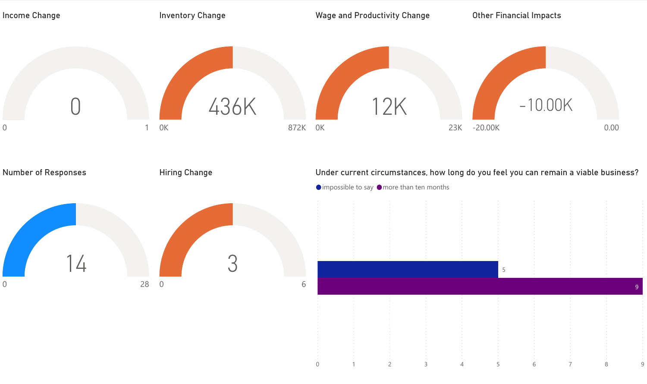